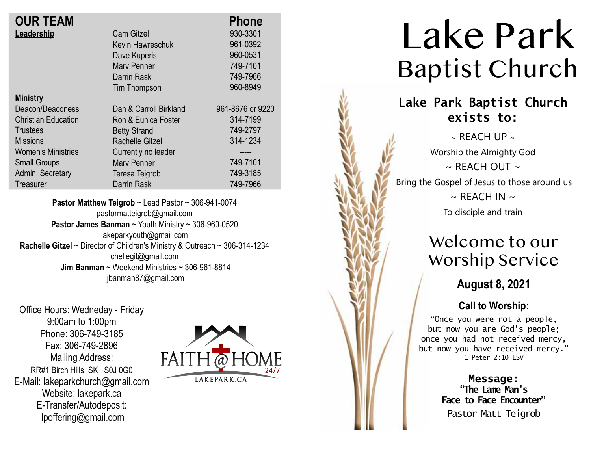| <b>OUR TEAM</b>            |                        | <b>Phone</b>     |
|----------------------------|------------------------|------------------|
| Leadership                 | <b>Cam Gitzel</b>      | 930-3301         |
|                            | Kevin Hawreschuk       | 961-0392         |
|                            | Dave Kuperis           | 960-0531         |
|                            | <b>Mary Penner</b>     | 749-7101         |
|                            | Darrin Rask            | 749-7966         |
|                            | Tim Thompson           | 960-8949         |
| <b>Ministry</b>            |                        |                  |
| Deacon/Deaconess           | Dan & Carroll Birkland | 961-8676 or 9220 |
| <b>Christian Education</b> | Ron & Eunice Foster    | 314-7199         |
| Trustees                   | <b>Betty Strand</b>    | 749-2797         |
| <b>Missions</b>            | Rachelle Gitzel        | 314-1234         |
| <b>Women's Ministries</b>  | Currently no leader    | -----            |
| <b>Small Groups</b>        | <b>Mary Penner</b>     | 749-7101         |
| Admin. Secretary           | Teresa Teigrob         | 749-3185         |
| <b>Treasurer</b>           | <b>Darrin Rask</b>     | 749-7966         |
|                            |                        |                  |

**Pastor Matthew Teigrob** ~ Lead Pastor ~ 306-941-0074 pastormatteigrob@gmail.com **Pastor James Banman** ~ Youth Ministry ~ 306-960-0520 lakeparkyouth@gmail.com **Rachelle Gitzel** ~ Director of Children's Ministry & Outreach ~ 306-314-1234 chellegit@gmail.com  **Jim Banman** ~ Weekend Ministries ~ 306-961-8814 jbanman87@gmail.com

Office Hours: Wedneday - Friday 9:00am to 1:00pm Phone: 306-749-3185 Fax: 306-749-2896 Mailing Address: RR#1 Birch Hills, SK S0J 0G0 E-Mail: lakeparkchurch@gmail.com Website: lakepark.ca E-Transfer/Autodeposit: lpoffering@gmail.com



# Lake Park Baptist Church

### **Lake Park Baptist Church exists to:**

 $\sim$  REACH UP  $\sim$ Worship the Almighty God  $\sim$  RFACH OUT  $\sim$ Bring the Gospel of Jesus to those around us  $\sim$  REACH IN  $\sim$ 

To disciple and train

## Welcome to our Worship Service

**August 8, 2021**

### **Call to Worship:**

"Once you were not a people, but now you are God's people; once you had not received mercy, but now you have received mercy." 1 Peter 2:10 ESV

> **Message: "The Lame Man's Face to Face Encounter"** Pastor Matt Teigrob